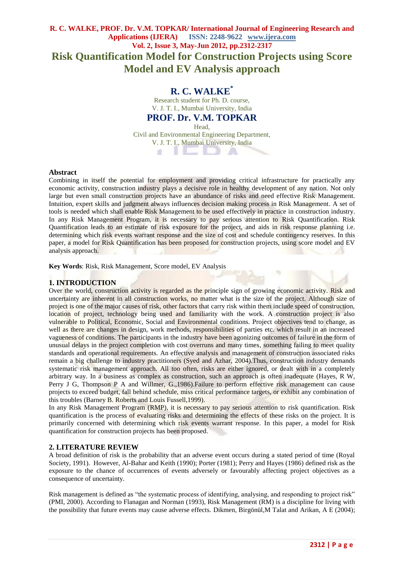# **R. C. WALKE, PROF. Dr. V.M. TOPKAR/ International Journal of Engineering Research and Applications (IJERA) ISSN: 2248-9622 www.ijera.com Vol. 2, Issue 3, May-Jun 2012, pp.2312-2317 Risk Quantification Model for Construction Projects using Score Model and EV Analysis approach**

# **R. C. WALKE\***

Research student for Ph. D. course, V. J. T. I., Mumbai University, India

# **PROF. Dr. V.M. TOPKAR**

Head,

Civil and Environmental Engineering Department, V. J. T. I., Mumbai University, India  $\mathbf{u}$ ... II - 29.

### **Abstract**

Combining in itself the potential for employment and providing critical infrastructure for practically any economic activity, construction industry plays a decisive role in healthy development of any nation. Not only large but even small construction projects have an abundance of risks and need effective Risk Management. Intuition, expert skills and judgment always influences decision making process in Risk Management. A set of tools is needed which shall enable Risk Management to be used effectively in practice in construction industry. In any Risk Management Program, it is necessary to pay serious attention to Risk Quantification. Risk Quantification leads to an estimate of risk exposure for the project, and aids in risk response planning i.e. determining which risk events warrant response and the size of cost and schedule contingency reserves. In this paper, a model for Risk Quantification has been proposed for construction projects, using score model and EV analysis approach.

**Key Words**: Risk, Risk Management, Score model, EV Analysis

## **1. INTRODUCTION**

Over the world, construction activity is regarded as the principle sign of growing economic activity. Risk and uncertainty are inherent in all construction works, no matter what is the size of the project. Although size of project is one of the major causes of risk, other factors that carry risk within them include speed of construction, location of project, technology being used and familiarity with the work. A construction project is also vulnerable to Political, Economic, Social and Environmental conditions. Project objectives tend to change, as well as there are changes in design, work methods, responsibilities of parties etc. which result in an increased vagueness of conditions. The participants in the industry have been agonizing outcomes of failure in the form of unusual delays in the project completion with cost overruns and many times, something failing to meet quality standards and operational requirements. An effective analysis and management of construction associated risks remain a big challenge to industry practitioners (Syed and Azhar, 2004).Thus, construction industry demands systematic risk management approach. All too often, risks are either ignored, or dealt with in a completely arbitrary way. In a business as complex as construction, such an approach is often inadequate (Hayes, R W, Perry J G, Thompson P A and Willmer, G.,1986).Failure to perform effective risk management can cause projects to exceed budget, fall behind schedule, miss critical performance targets, or exhibit any combination of this troubles (Barney B. Roberts and Louis Fussell,1999).

In any Risk Management Program (RMP), it is necessary to pay serious attention to risk quantification. Risk quantification is the process of evaluating risks and determining the effects of these risks on the project. It is primarily concerned with determining which risk events warrant response. In this paper, a model for Risk quantification for construction projects has been proposed.

## **2. LITERATURE REVIEW**

A broad definition of risk is the probability that an adverse event occurs during a stated period of time (Royal Society, 1991). However, Al-Bahar and Keith (1990); Porter (1981); Perry and Hayes (1986) defined risk as the exposure to the chance of occurrences of events adversely or favourably affecting project objectives as a consequence of uncertainty.

Risk management is defined as "the systematic process of identifying, analysing, and responding to project risk" (PMI, 2000). According to Flanagan and Norman (1993), Risk Management (RM) is a discipline for living with the possibility that future events may cause adverse effects. Dikmen, Birgönül,M Talat and Arikan, A E (2004);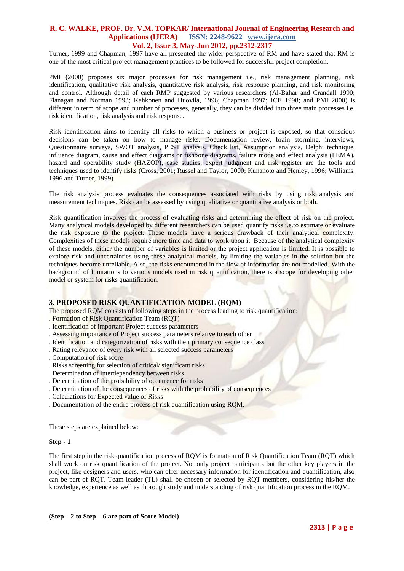Turner, 1999 and Chapman, 1997 have all presented the wider perspective of RM and have stated that RM is one of the most critical project management practices to be followed for successful project completion.

PMI (2000) proposes six major processes for risk management i.e., risk management planning, risk identification, qualitative risk analysis, quantitative risk analysis, risk response planning, and risk monitoring and control. Although detail of each RMP suggested by various researchers (Al-Bahar and Crandall 1990; Flanagan and Norman 1993; Kahkonen and Huovila, 1996; Chapman 1997; ICE 1998; and PMI 2000) is different in term of scope and number of processes, generally, they can be divided into three main processes i.e. risk identification, risk analysis and risk response.

Risk identification aims to identify all risks to which a business or project is exposed, so that conscious decisions can be taken on how to manage risks. Documentation review, brain storming, interviews, Questionnaire surveys, SWOT analysis, PEST analysis, Check list, Assumption analysis, Delphi technique, influence diagram, cause and effect diagrams or fishbone diagrams, failure mode and effect analysis (FEMA), hazard and operability study (HAZOP), case studies, expert judgment and risk register are the tools and techniques used to identify risks (Cross, 2001; Russel and Taylor, 2000; Kunanoto and Henley, 1996; Williams, 1996 and Turner, 1999).

The risk analysis process evaluates the consequences associated with risks by using risk analysis and measurement techniques. Risk can be assessed by using qualitative or quantitative analysis or both.

Risk quantification involves the process of evaluating risks and determining the effect of risk on the project. Many analytical models developed by different researchers can be used quantify risks i.e.to estimate or evaluate the risk exposure to the project. These models have a serious drawback of their analytical complexity. Complexities of these models require more time and data to work upon it. Because of the analytical complexity of these models, either the number of variables is limited or the project application is limited. It is possible to explore risk and uncertainties using these analytical models, by limiting the variables in the solution but the techniques become unreliable. Also, the risks encountered in the flow of information are not modelled. With the background of limitations to various models used in risk quantification, there is a scope for developing other model or system for risks quantification.

### **3. PROPOSED RISK QUANTIFICATION MODEL (RQM)**

The proposed RQM consists of following steps in the process leading to risk quantification:

- . Formation of Risk Quantification Team (RQT)
- . Identification of important Project success parameters
- . Assessing importance of Project success parameters relative to each other
- . Identification and categorization of risks with their primary consequence class
- . Rating relevance of every risk with all selected success parameters
- . Computation of risk score
- . Risks screening for selection of critical/ significant risks
- . Determination of interdependency between risks
- . Determination of the probability of occurrence for risks
- . Determination of the consequences of risks with the probability of consequences
- . Calculations for Expected value of Risks
- . Documentation of the entire process of risk quantification using RQM.

These steps are explained below:

### **Step - 1**

The first step in the risk quantification process of RQM is formation of Risk Quantification Team (RQT) which shall work on risk quantification of the project. Not only project participants but the other key players in the project, like designers and users, who can offer necessary information for identification and quantification, also can be part of RQT. Team leader (TL) shall be chosen or selected by RQT members, considering his/her the knowledge, experience as well as thorough study and understanding of risk quantification process in the RQM.

#### **(Step – 2 to Step – 6 are part of Score Model)**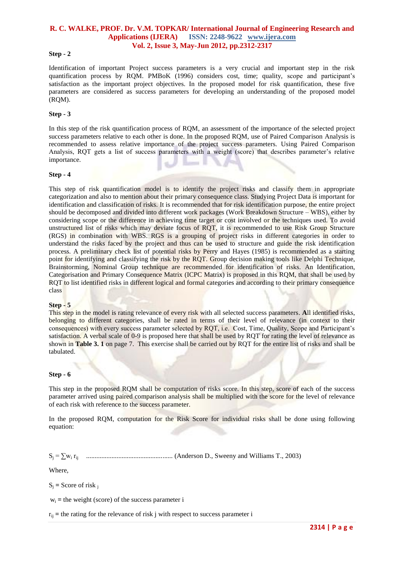#### **Step - 2**

Identification of important Project success parameters is a very crucial and important step in the risk quantification process by RQM. PMBoK (1996) considers cost, time; quality, scope and participant's satisfaction as the important project objectives. In the proposed model for risk quantification, these five parameters are considered as success parameters for developing an understanding of the proposed model (RQM).

#### **Step - 3**

In this step of the risk quantification process of RQM, an assessment of the importance of the selected project success parameters relative to each other is done. In the proposed RQM, use of Paired Comparison Analysis is recommended to assess relative importance of the project success parameters. Using Paired Comparison Analysis, RQT gets a list of success parameters with a weight (score) that describes parameter"s relative importance.

#### **Step - 4**

This step of risk quantification model is to identify the project risks and classify them in appropriate categorization and also to mention about their primary consequence class. Studying Project Data is important for identification and classification of risks. It is recommended that for risk identification purpose, the entire project should be decomposed and divided into different work packages (Work Breakdown Structure – WBS), either by considering scope or the difference in achieving time target or cost involved or the techniques used. To avoid unstructured list of risks which may deviate focus of RQT, it is recommended to use Risk Group Structure (RGS) in combination with WBS. RGS is a grouping of project risks in different categories in order to understand the risks faced by the project and thus can be used to structure and guide the risk identification process. A preliminary check list of potential risks by Perry and Hayes (1985) is recommended as a starting point for identifying and classifying the risk by the RQT. Group decision making tools like Delphi Technique, Brainstorming, Nominal Group technique are recommended for identification of risks. An Identification, Categorisation and Primary Consequence Matrix (ICPC Matrix) is proposed in this RQM, that shall be used by RQT to list identified risks in different logical and formal categories and according to their primary consequence class

#### **Step - 5**

This step in the model is rating relevance of every risk with all selected success parameters. **A**ll identified risks, belonging to different categories, shall be rated in terms of their level of relevance (in context to their consequences) with every success parameter selected by RQT, i.e. Cost, Time, Quality, Scope and Participant"s satisfaction. A verbal scale of 0-9 is proposed here that shall be used by RQT for rating the level of relevance as shown in **Table 3. 1** on page 7. This exercise shall be carried out by RQT for the entire list of risks and shall be tabulated.

#### **Step - 6**

This step in the proposed RQM shall be computation of risks score. In this step, score of each of the success parameter arrived using paired comparison analysis shall be multiplied with the score for the level of relevance of each risk with reference to the success parameter.

In the proposed RQM, computation for the Risk Score for individual risks shall be done using following equation:

S<sup>j</sup> = ∑w<sup>i</sup> rij ................................................... (Anderson D., Sweeny and Williams T., 2003)

Where,

 $S_i$  = Score of risk  $\frac{1}{i}$ 

 $w_i$  = the weight (score) of the success parameter i

 $r_{ii}$  = the rating for the relevance of risk j with respect to success parameter i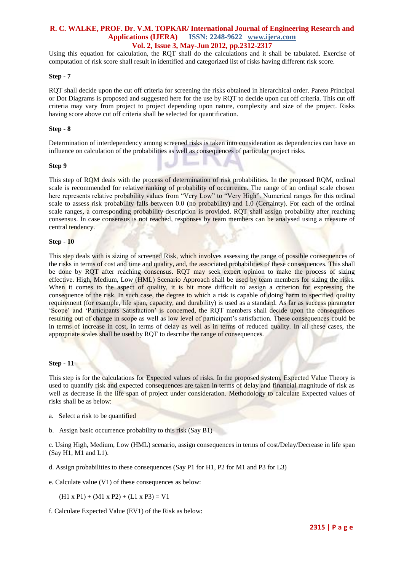Using this equation for calculation, the RQT shall do the calculations and it shall be tabulated. Exercise of computation of risk score shall result in identified and categorized list of risks having different risk score.

#### **Step - 7**

RQT shall decide upon the cut off criteria for screening the risks obtained in hierarchical order. Pareto Principal or Dot Diagrams is proposed and suggested here for the use by RQT to decide upon cut off criteria. This cut off criteria may vary from project to project depending upon nature, complexity and size of the project. Risks having score above cut off criteria shall be selected for quantification.

#### **Step - 8**

Determination of interdependency among screened risks is taken into consideration as dependencies can have an influence on calculation of the probabilities as well as consequences of particular project risks.

#### **Step 9**

This step of RQM deals with the process of determination of risk probabilities. In the proposed RQM, ordinal scale is recommended for relative ranking of probability of occurrence. The range of an ordinal scale chosen here represents relative probability values from "Very Low" to "Very High". Numerical ranges for this ordinal scale to assess risk probability falls between 0.0 (no probability) and 1.0 (Certainty). For each of the ordinal scale ranges, a corresponding probability description is provided. RQT shall assign probability after reaching consensus. In case consensus is not reached, responses by team members can be analysed using a measure of central tendency.

#### **Step - 10**

This step deals with is sizing of screened Risk, which involves assessing the range of possible consequences of the risks in terms of cost and time and quality, and, the associated probabilities of these consequences. This shall be done by RQT after reaching consensus. RQT may seek expert opinion to make the process of sizing effective. High, Medium, Low (HML) Scenario Approach shall be used by team members for sizing the risks. When it comes to the aspect of quality, it is bit more difficult to assign a criterion for expressing the consequence of the risk. In such case, the degree to which a risk is capable of doing harm to specified quality requirement (for example, life span, capacity, and durability) is used as a standard. As far as success parameter "Scope" and "Participants Satisfaction" is concerned, the RQT members shall decide upon the consequences resulting out of change in scope as well as low level of participant's satisfaction. These consequences could be in terms of increase in cost, in terms of delay as well as in terms of reduced quality. In all these cases, the appropriate scales shall be used by RQT to describe the range of consequences.

#### **Step - 11**

This step is for the calculations for Expected values of risks. In the proposed system, Expected Value Theory is used to quantify risk and expected consequences are taken in terms of delay and financial magnitude of risk as well as decrease in the life span of project under consideration. Methodology to calculate Expected values of risks shall be as below:

- a. Select a risk to be quantified
- b. Assign basic occurrence probability to this risk (Say B1)
- c. Using High, Medium, Low (HML) scenario, assign consequences in terms of cost/Delay/Decrease in life span (Say H1, M1 and L1).
- d. Assign probabilities to these consequences (Say P1 for H1, P2 for M1 and P3 for L3)
- e. Calculate value (V1) of these consequences as below:

 $(H1 \times P1) + (M1 \times P2) + (L1 \times P3) = V1$ 

f. Calculate Expected Value (EV1) of the Risk as below: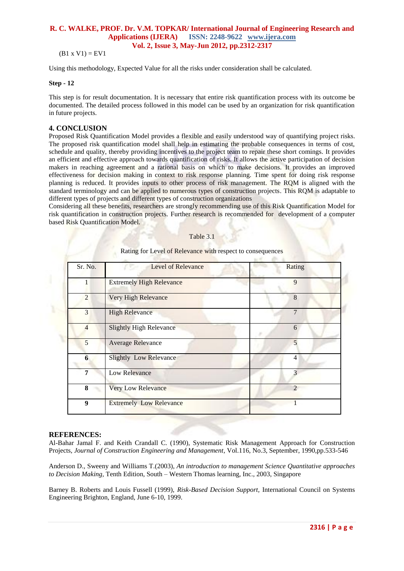$(B1 x V1) = EV1$ 

Using this methodology, Expected Value for all the risks under consideration shall be calculated.

#### **Step - 12**

This step is for result documentation. It is necessary that entire risk quantification process with its outcome be documented. The detailed process followed in this model can be used by an organization for risk quantification in future projects.

## **4. CONCLUSION**

Proposed Risk Quantification Model provides a flexible and easily understood way of quantifying project risks. The proposed risk quantification model shall help in estimating the probable consequences in terms of cost, schedule and quality, thereby providing incentives to the project team to repair these short comings. It provides an efficient and effective approach towards quantification of risks. It allows the active participation of decision makers in reaching agreement and a rational basis on which to make decisions. It provides an improved effectiveness for decision making in context to risk response planning. Time spent for doing risk response planning is reduced. It provides inputs to other process of risk management. The RQM is aligned with the standard terminology and can be applied to numerous types of construction projects. This RQM is adaptable to different types of projects and different types of construction organizations

Considering all these benefits, researchers are strongly recommending use of this Risk Quantification Model for risk quantification in construction projects. Further research is recommended for development of a computer based Risk Quantification Model.

| Sr. No.        | <b>Level of Relevance</b><br>メディー | Rating         |
|----------------|-----------------------------------|----------------|
| 1              | <b>Extremely High Relevance</b>   | 9              |
| $\overline{2}$ | Very High Relevance               | 8              |
| 3              | <b>High Relevance</b>             | $\overline{7}$ |
| $\overline{4}$ | <b>Slightly High Relevance</b>    | 6              |
| 5              | Average Relevance                 | 5              |
| $6\phantom{1}$ | <b>Slightly Low Relevance</b>     | $\overline{4}$ |
| 7              | Low Relevance                     | 3              |
| 8              | <b>Very Low Relevance</b>         | $\mathcal{D}$  |
| 9              | <b>Extremely Low Relevance</b>    |                |

Table 3.1

#### **REFERENCES:**

Al-Bahar Jamal F. and Keith Crandall C. (1990), Systematic Risk Management Approach for Construction Projects, *Journal of Construction Engineering and Management,* Vol.116, No.3, September, 1990,pp.533-546

Anderson D., Sweeny and Williams T.(2003), *An introduction to management Science Quantitative approaches to Decision Making,* Tenth Edition, South – Western Thomas learning, Inc., 2003, Singapore

Barney B. Roberts and Louis Fussell (1999), *Risk-Based Decision Support,* International Council on Systems Engineering Brighton, England, June 6-10, 1999.